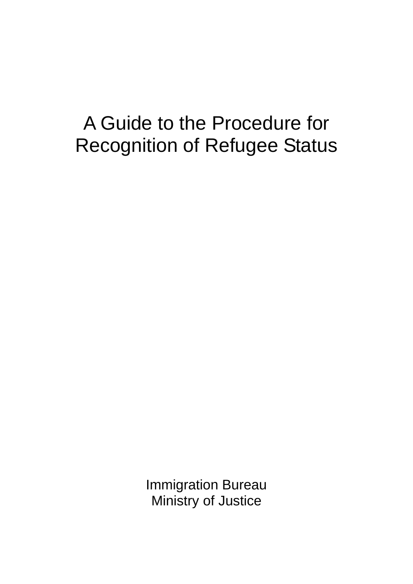# A Guide to the Procedure for Recognition of Refugee Status

Immigration Bureau Ministry of Justice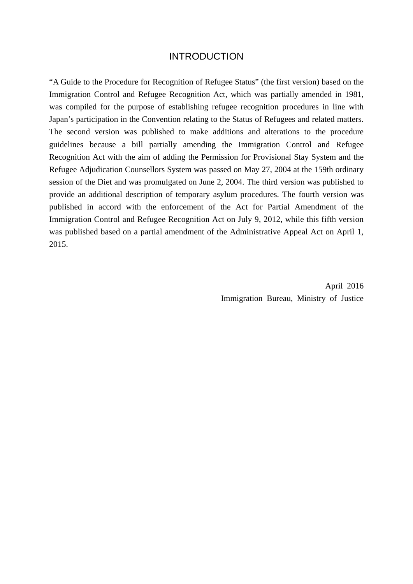#### INTRODUCTION

"A Guide to the Procedure for Recognition of Refugee Status" (the first version) based on the Immigration Control and Refugee Recognition Act, which was partially amended in 1981, was compiled for the purpose of establishing refugee recognition procedures in line with Japan's participation in the Convention relating to the Status of Refugees and related matters. The second version was published to make additions and alterations to the procedure guidelines because a bill partially amending the Immigration Control and Refugee Recognition Act with the aim of adding the Permission for Provisional Stay System and the Refugee Adjudication Counsellors System was passed on May 27, 2004 at the 159th ordinary session of the Diet and was promulgated on June 2, 2004. The third version was published to provide an additional description of temporary asylum procedures. The fourth version was published in accord with the enforcement of the Act for Partial Amendment of the Immigration Control and Refugee Recognition Act on July 9, 2012, while this fifth version was published based on a partial amendment of the Administrative Appeal Act on April 1, 2015.

> April 2016 Immigration Bureau, Ministry of Justice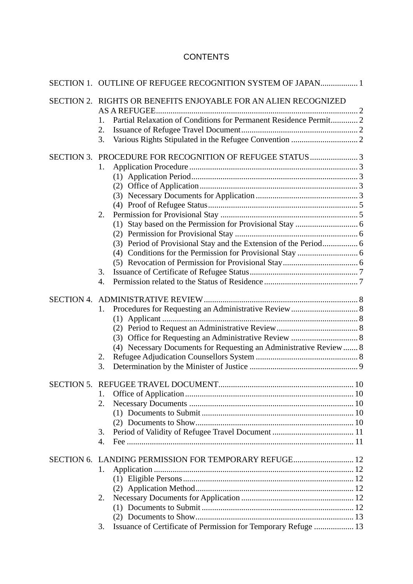### **CONTENTS**

|                   | SECTION 1. OUTLINE OF REFUGEE RECOGNITION SYSTEM OF JAPAN 1                     |  |
|-------------------|---------------------------------------------------------------------------------|--|
|                   | SECTION 2. RIGHTS OR BENEFITS ENJOYABLE FOR AN ALIEN RECOGNIZED<br>AS A REFUGEE |  |
|                   | Partial Relaxation of Conditions for Permanent Residence Permit 2<br>1.         |  |
|                   | 2.                                                                              |  |
|                   | 3.                                                                              |  |
| <b>SECTION 3.</b> |                                                                                 |  |
|                   | 1.                                                                              |  |
|                   |                                                                                 |  |
|                   |                                                                                 |  |
|                   |                                                                                 |  |
|                   |                                                                                 |  |
|                   | 2.                                                                              |  |
|                   |                                                                                 |  |
|                   |                                                                                 |  |
|                   | (3) Period of Provisional Stay and the Extension of the Period 6                |  |
|                   |                                                                                 |  |
|                   |                                                                                 |  |
|                   | 3.                                                                              |  |
|                   | 4.                                                                              |  |
| <b>SECTION 4.</b> |                                                                                 |  |
|                   | 1.                                                                              |  |
|                   |                                                                                 |  |
|                   |                                                                                 |  |
|                   |                                                                                 |  |
|                   | (4) Necessary Documents for Requesting an Administrative Review  8              |  |
|                   | 2.                                                                              |  |
|                   | 3.                                                                              |  |
|                   |                                                                                 |  |
|                   | 1.                                                                              |  |
|                   | 2.                                                                              |  |
|                   |                                                                                 |  |
|                   |                                                                                 |  |
|                   | 3.                                                                              |  |
|                   | 4.                                                                              |  |
|                   | SECTION 6. LANDING PERMISSION FOR TEMPORARY REFUGE 12                           |  |
|                   | 1.                                                                              |  |
|                   |                                                                                 |  |
|                   |                                                                                 |  |
|                   | 2.                                                                              |  |
|                   |                                                                                 |  |
|                   |                                                                                 |  |
|                   | Issuance of Certificate of Permission for Temporary Refuge  13<br>3.            |  |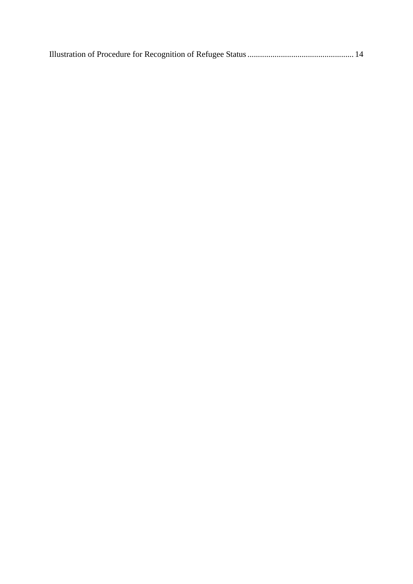|--|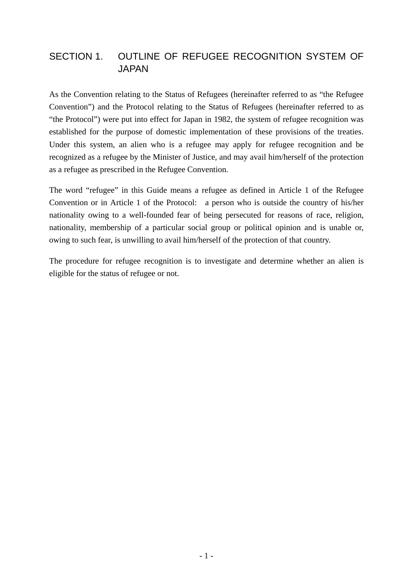# SECTION 1. OUTLINE OF REFUGEE RECOGNITION SYSTEM OF JAPAN

As the Convention relating to the Status of Refugees (hereinafter referred to as "the Refugee Convention") and the Protocol relating to the Status of Refugees (hereinafter referred to as "the Protocol") were put into effect for Japan in 1982, the system of refugee recognition was established for the purpose of domestic implementation of these provisions of the treaties. Under this system, an alien who is a refugee may apply for refugee recognition and be recognized as a refugee by the Minister of Justice, and may avail him/herself of the protection as a refugee as prescribed in the Refugee Convention.

The word "refugee" in this Guide means a refugee as defined in Article 1 of the Refugee Convention or in Article 1 of the Protocol: a person who is outside the country of his/her nationality owing to a well-founded fear of being persecuted for reasons of race, religion, nationality, membership of a particular social group or political opinion and is unable or, owing to such fear, is unwilling to avail him/herself of the protection of that country.

The procedure for refugee recognition is to investigate and determine whether an alien is eligible for the status of refugee or not.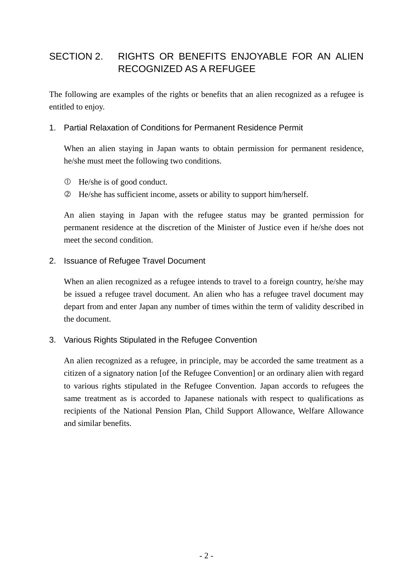# SECTION 2. RIGHTS OR BENEFITS ENJOYABLE FOR AN ALIEN RECOGNIZED AS A REFUGEE

The following are examples of the rights or benefits that an alien recognized as a refugee is entitled to enjoy.

#### 1. Partial Relaxation of Conditions for Permanent Residence Permit

When an alien staying in Japan wants to obtain permission for permanent residence, he/she must meet the following two conditions.

- He/she is of good conduct.
- He/she has sufficient income, assets or ability to support him/herself.

An alien staying in Japan with the refugee status may be granted permission for permanent residence at the discretion of the Minister of Justice even if he/she does not meet the second condition.

#### 2. Issuance of Refugee Travel Document

When an alien recognized as a refugee intends to travel to a foreign country, he/she may be issued a refugee travel document. An alien who has a refugee travel document may depart from and enter Japan any number of times within the term of validity described in the document.

#### 3. Various Rights Stipulated in the Refugee Convention

An alien recognized as a refugee, in principle, may be accorded the same treatment as a citizen of a signatory nation [of the Refugee Convention] or an ordinary alien with regard to various rights stipulated in the Refugee Convention. Japan accords to refugees the same treatment as is accorded to Japanese nationals with respect to qualifications as recipients of the National Pension Plan, Child Support Allowance, Welfare Allowance and similar benefits.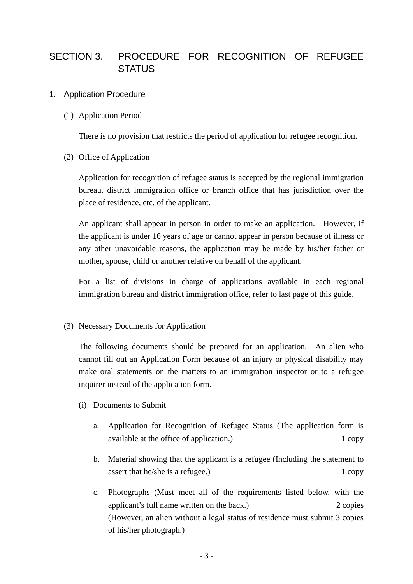# SECTION 3. PROCEDURE FOR RECOGNITION OF REFUGEE **STATUS**

#### 1. Application Procedure

(1) Application Period

There is no provision that restricts the period of application for refugee recognition.

(2) Office of Application

Application for recognition of refugee status is accepted by the regional immigration bureau, district immigration office or branch office that has jurisdiction over the place of residence, etc. of the applicant.

An applicant shall appear in person in order to make an application. However, if the applicant is under 16 years of age or cannot appear in person because of illness or any other unavoidable reasons, the application may be made by his/her father or mother, spouse, child or another relative on behalf of the applicant.

For a list of divisions in charge of applications available in each regional immigration bureau and district immigration office, refer to last page of this guide.

(3) Necessary Documents for Application

The following documents should be prepared for an application. An alien who cannot fill out an Application Form because of an injury or physical disability may make oral statements on the matters to an immigration inspector or to a refugee inquirer instead of the application form.

- (i) Documents to Submit
	- a. Application for Recognition of Refugee Status (The application form is available at the office of application.) 1 copy
	- b. Material showing that the applicant is a refugee (Including the statement to assert that he/she is a refugee.) 1 copy
	- c. Photographs (Must meet all of the requirements listed below, with the applicant's full name written on the back.) 2 copies (However, an alien without a legal status of residence must submit 3 copies of his/her photograph.)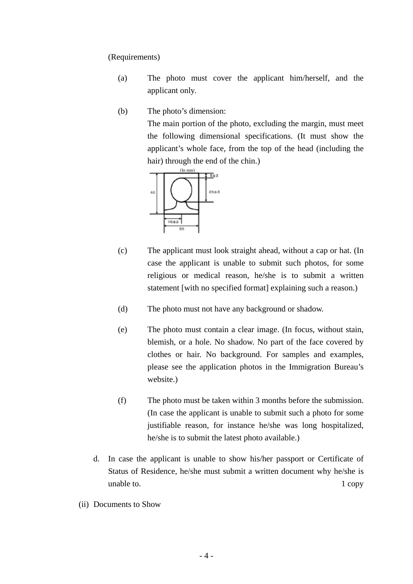(Requirements)

- (a) The photo must cover the applicant him/herself, and the applicant only.
- (b) The photo's dimension:

The main portion of the photo, excluding the margin, must meet the following dimensional specifications. (It must show the applicant's whole face, from the top of the head (including the hair) through the end of the chin.)



- (c) The applicant must look straight ahead, without a cap or hat. (In case the applicant is unable to submit such photos, for some religious or medical reason, he/she is to submit a written statement [with no specified format] explaining such a reason.)
- (d) The photo must not have any background or shadow.
- (e) The photo must contain a clear image. (In focus, without stain, blemish, or a hole. No shadow. No part of the face covered by clothes or hair. No background. For samples and examples, please see the application photos in the Immigration Bureau's website.)
- (f) The photo must be taken within 3 months before the submission. (In case the applicant is unable to submit such a photo for some justifiable reason, for instance he/she was long hospitalized, he/she is to submit the latest photo available.)
- d. In case the applicant is unable to show his/her passport or Certificate of Status of Residence, he/she must submit a written document why he/she is unable to. 1 copy
- (ii) Documents to Show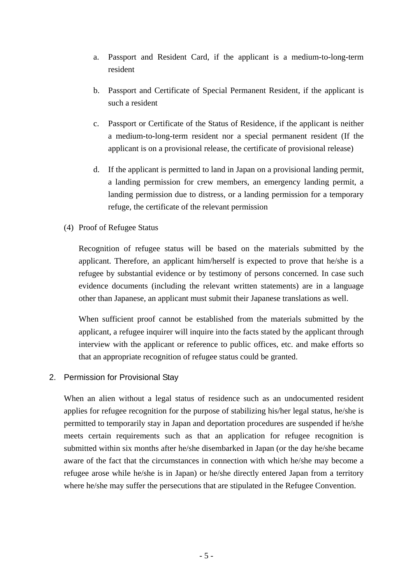- a. Passport and Resident Card, if the applicant is a medium-to-long-term resident
- b. Passport and Certificate of Special Permanent Resident, if the applicant is such a resident
- c. Passport or Certificate of the Status of Residence, if the applicant is neither a medium-to-long-term resident nor a special permanent resident (If the applicant is on a provisional release, the certificate of provisional release)
- d. If the applicant is permitted to land in Japan on a provisional landing permit, a landing permission for crew members, an emergency landing permit, a landing permission due to distress, or a landing permission for a temporary refuge, the certificate of the relevant permission
- (4) Proof of Refugee Status

Recognition of refugee status will be based on the materials submitted by the applicant. Therefore, an applicant him/herself is expected to prove that he/she is a refugee by substantial evidence or by testimony of persons concerned. In case such evidence documents (including the relevant written statements) are in a language other than Japanese, an applicant must submit their Japanese translations as well.

When sufficient proof cannot be established from the materials submitted by the applicant, a refugee inquirer will inquire into the facts stated by the applicant through interview with the applicant or reference to public offices, etc. and make efforts so that an appropriate recognition of refugee status could be granted.

2. Permission for Provisional Stay

When an alien without a legal status of residence such as an undocumented resident applies for refugee recognition for the purpose of stabilizing his/her legal status, he/she is permitted to temporarily stay in Japan and deportation procedures are suspended if he/she meets certain requirements such as that an application for refugee recognition is submitted within six months after he/she disembarked in Japan (or the day he/she became aware of the fact that the circumstances in connection with which he/she may become a refugee arose while he/she is in Japan) or he/she directly entered Japan from a territory where he/she may suffer the persecutions that are stipulated in the Refugee Convention.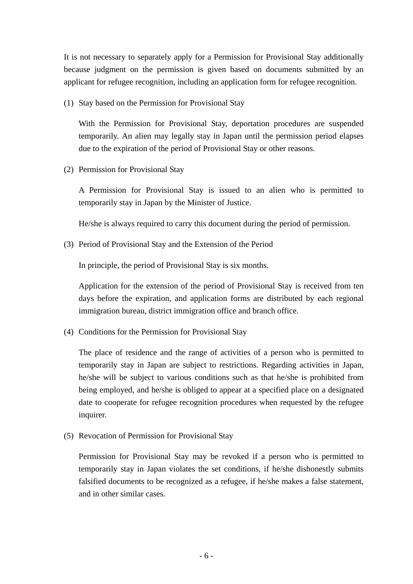It is not necessary to separately apply for a Permission for Provisional Stay additionally because judgment on the permission is given based on documents submitted by an applicant for refugee recognition, including an application form for refugee recognition.

(1) Stay based on the Permission for Provisional Stay

With the Permission for Provisional Stay, deportation procedures are suspended temporarily. An alien may legally stay in Japan until the permission period elapses due to the expiration of the period of Provisional Stay or other reasons.

(2) Permission for Provisional Stay

A Permission for Provisional Stay is issued to an alien who is permitted to temporarily stay in Japan by the Minister of Justice.

He/she is always required to carry this document during the period of permission.

(3) Period of Provisional Stay and the Extension of the Period

In principle, the period of Provisional Stay is six months.

Application for the extension of the period of Provisional Stay is received from ten days before the expiration, and application forms are distributed by each regional immigration bureau, district immigration office and branch office.

(4) Conditions for the Permission for Provisional Stay

The place of residence and the range of activities of a person who is permitted to temporarily stay in Japan are subject to restrictions. Regarding activities in Japan, he/she will be subject to various conditions such as that he/she is prohibited from being employed, and he/she is obliged to appear at a specified place on a designated date to cooperate for refugee recognition procedures when requested by the refugee inquirer.

(5) Revocation of Permission for Provisional Stay

Permission for Provisional Stay may be revoked if a person who is permitted to temporarily stay in Japan violates the set conditions, if he/she dishonestly submits falsified documents to be recognized as a refugee, if he/she makes a false statement, and in other similar cases.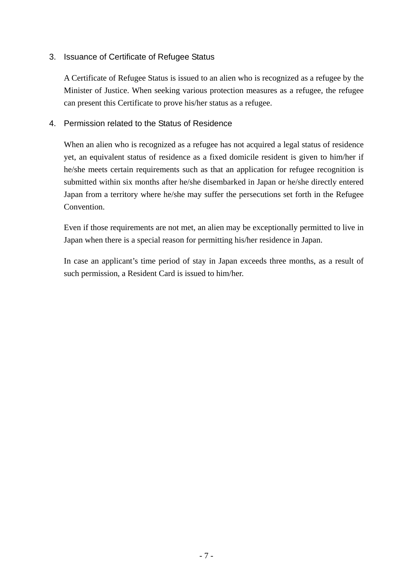#### 3. Issuance of Certificate of Refugee Status

A Certificate of Refugee Status is issued to an alien who is recognized as a refugee by the Minister of Justice. When seeking various protection measures as a refugee, the refugee can present this Certificate to prove his/her status as a refugee.

#### 4. Permission related to the Status of Residence

When an alien who is recognized as a refugee has not acquired a legal status of residence yet, an equivalent status of residence as a fixed domicile resident is given to him/her if he/she meets certain requirements such as that an application for refugee recognition is submitted within six months after he/she disembarked in Japan or he/she directly entered Japan from a territory where he/she may suffer the persecutions set forth in the Refugee Convention.

Even if those requirements are not met, an alien may be exceptionally permitted to live in Japan when there is a special reason for permitting his/her residence in Japan.

In case an applicant's time period of stay in Japan exceeds three months, as a result of such permission, a Resident Card is issued to him/her.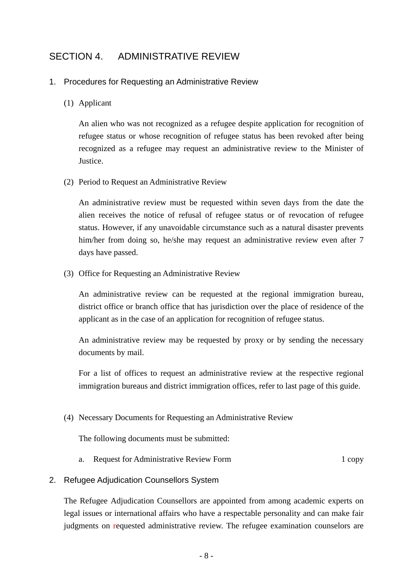## SECTION 4. ADMINISTRATIVE REVIEW

#### 1. Procedures for Requesting an Administrative Review

#### (1) Applicant

An alien who was not recognized as a refugee despite application for recognition of refugee status or whose recognition of refugee status has been revoked after being recognized as a refugee may request an administrative review to the Minister of Justice.

(2) Period to Request an Administrative Review

An administrative review must be requested within seven days from the date the alien receives the notice of refusal of refugee status or of revocation of refugee status. However, if any unavoidable circumstance such as a natural disaster prevents him/her from doing so, he/she may request an administrative review even after 7 days have passed.

(3) Office for Requesting an Administrative Review

An administrative review can be requested at the regional immigration bureau, district office or branch office that has jurisdiction over the place of residence of the applicant as in the case of an application for recognition of refugee status.

An administrative review may be requested by proxy or by sending the necessary documents by mail.

For a list of offices to request an administrative review at the respective regional immigration bureaus and district immigration offices, refer to last page of this guide.

(4) Necessary Documents for Requesting an Administrative Review

The following documents must be submitted:

a. Request for Administrative Review Form 1 copy

## 2. Refugee Adjudication Counsellors System

The Refugee Adjudication Counsellors are appointed from among academic experts on legal issues or international affairs who have a respectable personality and can make fair judgments on requested administrative review. The refugee examination counselors are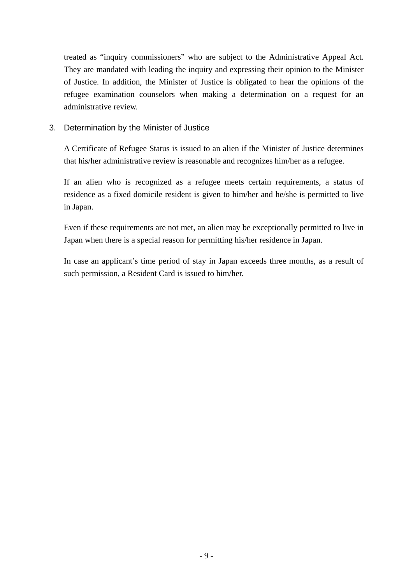treated as "inquiry commissioners" who are subject to the Administrative Appeal Act. They are mandated with leading the inquiry and expressing their opinion to the Minister of Justice. In addition, the Minister of Justice is obligated to hear the opinions of the refugee examination counselors when making a determination on a request for an administrative review.

3. Determination by the Minister of Justice

A Certificate of Refugee Status is issued to an alien if the Minister of Justice determines that his/her administrative review is reasonable and recognizes him/her as a refugee.

If an alien who is recognized as a refugee meets certain requirements, a status of residence as a fixed domicile resident is given to him/her and he/she is permitted to live in Japan.

Even if these requirements are not met, an alien may be exceptionally permitted to live in Japan when there is a special reason for permitting his/her residence in Japan.

In case an applicant's time period of stay in Japan exceeds three months, as a result of such permission, a Resident Card is issued to him/her.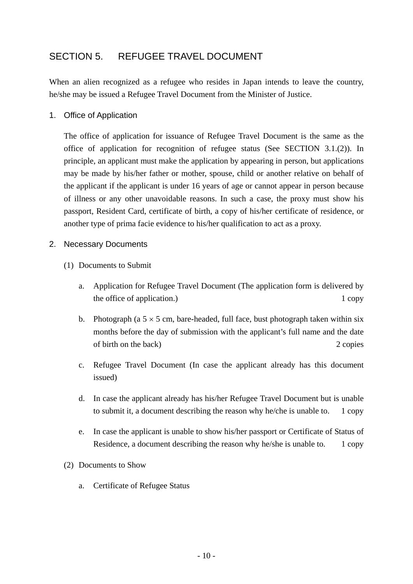## SECTION 5. REFUGEE TRAVEL DOCUMENT

When an alien recognized as a refugee who resides in Japan intends to leave the country, he/she may be issued a Refugee Travel Document from the Minister of Justice.

1. Office of Application

The office of application for issuance of Refugee Travel Document is the same as the office of application for recognition of refugee status (See SECTION 3.1.(2)). In principle, an applicant must make the application by appearing in person, but applications may be made by his/her father or mother, spouse, child or another relative on behalf of the applicant if the applicant is under 16 years of age or cannot appear in person because of illness or any other unavoidable reasons. In such a case, the proxy must show his passport, Resident Card, certificate of birth, a copy of his/her certificate of residence, or another type of prima facie evidence to his/her qualification to act as a proxy.

#### 2. Necessary Documents

- (1) Documents to Submit
	- a. Application for Refugee Travel Document (The application form is delivered by the office of application.) 1 copy
	- b. Photograph (a  $5 \times 5$  cm, bare-headed, full face, bust photograph taken within six months before the day of submission with the applicant's full name and the date of birth on the back) 2 copies
	- c. Refugee Travel Document (In case the applicant already has this document issued)
	- d. In case the applicant already has his/her Refugee Travel Document but is unable to submit it, a document describing the reason why he/che is unable to. 1 copy
	- e. In case the applicant is unable to show his/her passport or Certificate of Status of Residence, a document describing the reason why he/she is unable to. 1 copy
- (2) Documents to Show
	- a. Certificate of Refugee Status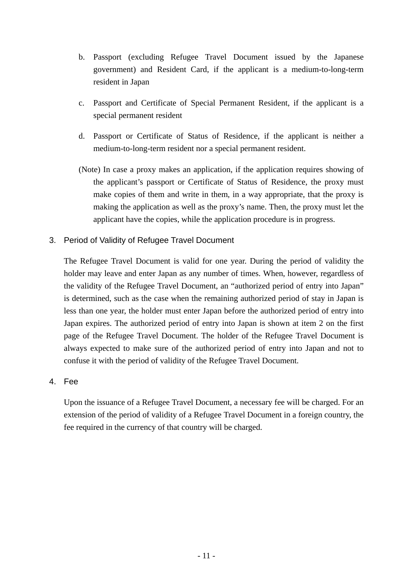- b. Passport (excluding Refugee Travel Document issued by the Japanese government) and Resident Card, if the applicant is a medium-to-long-term resident in Japan
- c. Passport and Certificate of Special Permanent Resident, if the applicant is a special permanent resident
- d. Passport or Certificate of Status of Residence, if the applicant is neither a medium-to-long-term resident nor a special permanent resident.
- (Note) In case a proxy makes an application, if the application requires showing of the applicant's passport or Certificate of Status of Residence, the proxy must make copies of them and write in them, in a way appropriate, that the proxy is making the application as well as the proxy's name. Then, the proxy must let the applicant have the copies, while the application procedure is in progress.
- 3. Period of Validity of Refugee Travel Document

The Refugee Travel Document is valid for one year. During the period of validity the holder may leave and enter Japan as any number of times. When, however, regardless of the validity of the Refugee Travel Document, an "authorized period of entry into Japan" is determined, such as the case when the remaining authorized period of stay in Japan is less than one year, the holder must enter Japan before the authorized period of entry into Japan expires. The authorized period of entry into Japan is shown at item 2 on the first page of the Refugee Travel Document. The holder of the Refugee Travel Document is always expected to make sure of the authorized period of entry into Japan and not to confuse it with the period of validity of the Refugee Travel Document.

#### 4. Fee

Upon the issuance of a Refugee Travel Document, a necessary fee will be charged. For an extension of the period of validity of a Refugee Travel Document in a foreign country, the fee required in the currency of that country will be charged.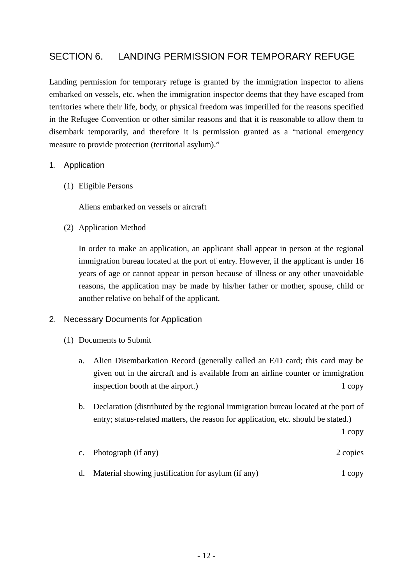## SECTION 6. LANDING PERMISSION FOR TEMPORARY REFUGE

Landing permission for temporary refuge is granted by the immigration inspector to aliens embarked on vessels, etc. when the immigration inspector deems that they have escaped from territories where their life, body, or physical freedom was imperilled for the reasons specified in the Refugee Convention or other similar reasons and that it is reasonable to allow them to disembark temporarily, and therefore it is permission granted as a "national emergency measure to provide protection (territorial asylum)."

#### 1. Application

(1) Eligible Persons

Aliens embarked on vessels or aircraft

(2) Application Method

In order to make an application, an applicant shall appear in person at the regional immigration bureau located at the port of entry. However, if the applicant is under 16 years of age or cannot appear in person because of illness or any other unavoidable reasons, the application may be made by his/her father or mother, spouse, child or another relative on behalf of the applicant.

#### 2. Necessary Documents for Application

- (1) Documents to Submit
	- a. Alien Disembarkation Record (generally called an E/D card; this card may be given out in the aircraft and is available from an airline counter or immigration inspection booth at the airport.) 1 copy
	- b. Declaration (distributed by the regional immigration bureau located at the port of entry; status-related matters, the reason for application, etc. should be stated.)

1 copy

- c. Photograph (if any) 2 copies
- d. Material showing justification for asylum (if any) 1 copy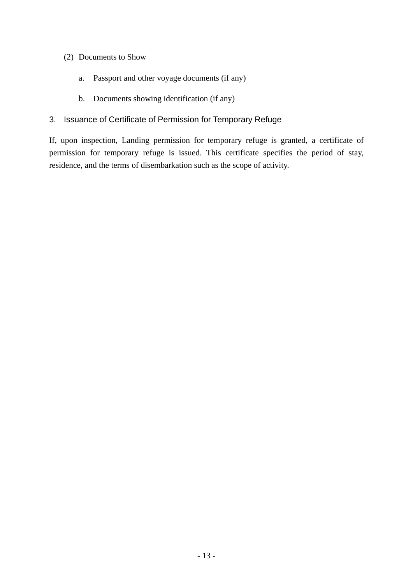#### (2) Documents to Show

- a. Passport and other voyage documents (if any)
- b. Documents showing identification (if any)

#### 3. Issuance of Certificate of Permission for Temporary Refuge

If, upon inspection, Landing permission for temporary refuge is granted, a certificate of permission for temporary refuge is issued. This certificate specifies the period of stay, residence, and the terms of disembarkation such as the scope of activity.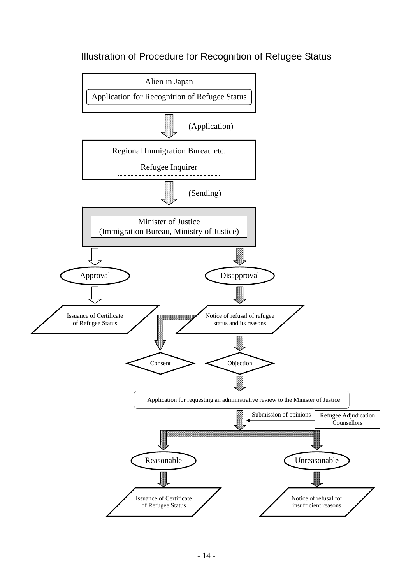# Illustration of Procedure for Recognition of Refugee Status